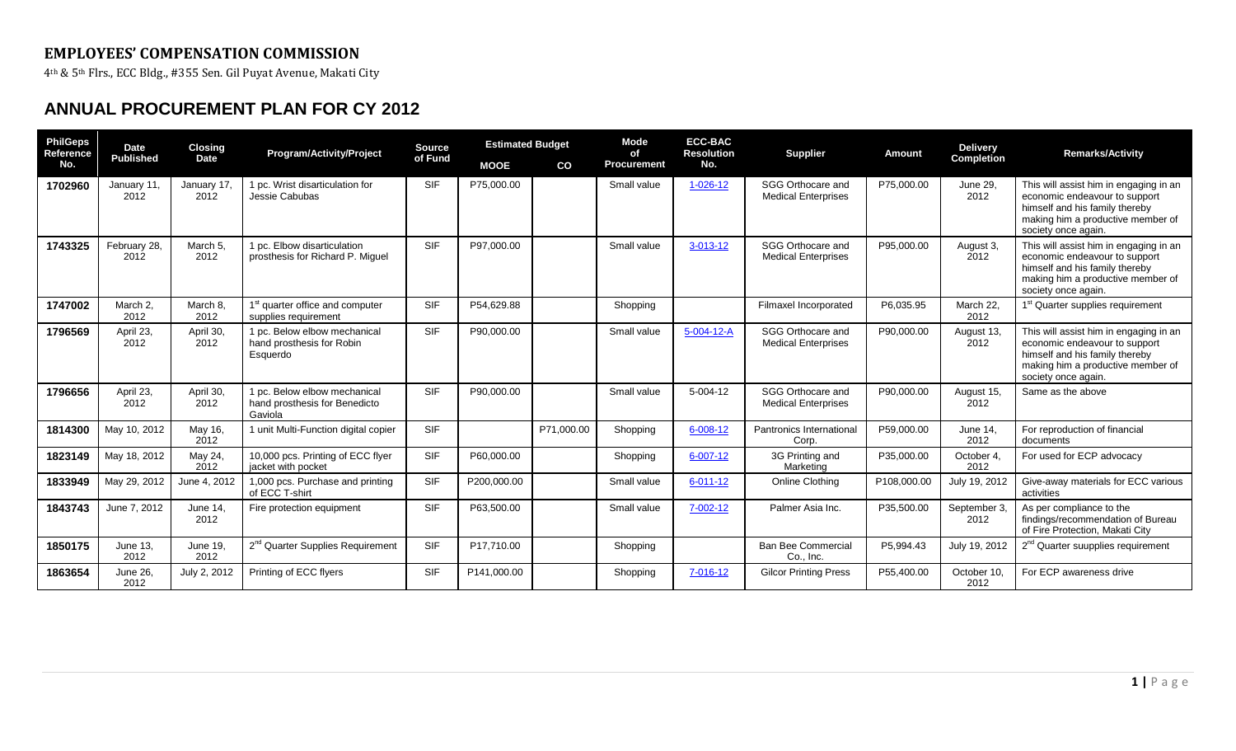## **EMPLOYEES' COMPENSATION COMMISSION**

4th & 5th Flrs., ECC Bldg., #355 Sen. Gil Puyat Avenue, Makati City

## **ANNUAL PROCUREMENT PLAN FOR CY 2012**

| <b>PhilGeps</b><br>Reference<br>No. | <b>Date</b><br><b>Published</b> | <b>Closing</b><br><b>Date</b> | <b>Program/Activity/Project</b>                                          | <b>Source</b><br>of Fund | <b>Estimated Budget</b> |            | <b>Mode</b>        | <b>ECC-BAC</b><br><b>Resolution</b><br>οf | <b>Supplier</b>                                 | Amount      | <b>Delivery</b>      | <b>Remarks/Activity</b>                                                                                                                                               |
|-------------------------------------|---------------------------------|-------------------------------|--------------------------------------------------------------------------|--------------------------|-------------------------|------------|--------------------|-------------------------------------------|-------------------------------------------------|-------------|----------------------|-----------------------------------------------------------------------------------------------------------------------------------------------------------------------|
|                                     |                                 |                               |                                                                          |                          | <b>MOOE</b>             | CO         | <b>Procurement</b> | No.                                       |                                                 |             | <b>Completion</b>    |                                                                                                                                                                       |
| 1702960                             | January 11,<br>2012             | January 17,<br>2012           | 1 pc. Wrist disarticulation for<br>Jessie Cabubas                        | <b>SIF</b>               | P75,000.00              |            | Small value        | $1 - 026 - 12$                            | SGG Orthocare and<br><b>Medical Enterprises</b> | P75,000.00  | June 29,<br>2012     | This will assist him in engaging in an<br>economic endeavour to support<br>himself and his family thereby<br>making him a productive member of<br>society once again. |
| 1743325                             | February 28,<br>2012            | March 5,<br>2012              | 1 pc. Elbow disarticulation<br>prosthesis for Richard P. Miguel          | <b>SIF</b>               | P97,000.00              |            | Small value        | 3-013-12                                  | SGG Orthocare and<br><b>Medical Enterprises</b> | P95,000.00  | August 3,<br>2012    | This will assist him in engaging in an<br>economic endeavour to support<br>himself and his family thereby<br>making him a productive member of<br>society once again. |
| 1747002                             | March 2,<br>2012                | March 8.<br>2012              | quarter office and computer<br>supplies requirement                      | <b>SIF</b>               | P54,629.88              |            | Shopping           |                                           | Filmaxel Incorporated                           | P6,035.95   | March 22.<br>2012    | 1 <sup>st</sup> Quarter supplies requirement                                                                                                                          |
| 1796569                             | April 23,<br>2012               | April 30,<br>2012             | 1 pc. Below elbow mechanical<br>hand prosthesis for Robin<br>Esquerdo    | <b>SIF</b>               | P90,000.00              |            | Small value        | 5-004-12-A                                | SGG Orthocare and<br><b>Medical Enterprises</b> | P90,000.00  | August 13,<br>2012   | This will assist him in engaging in an<br>economic endeavour to support<br>himself and his family thereby<br>making him a productive member of<br>society once again. |
| 1796656                             | April 23,<br>2012               | April 30,<br>2012             | 1 pc. Below elbow mechanical<br>hand prosthesis for Benedicto<br>Gaviola | <b>SIF</b>               | P90,000.00              |            | Small value        | $5 - 004 - 12$                            | SGG Orthocare and<br><b>Medical Enterprises</b> | P90,000.00  | August 15,<br>2012   | Same as the above                                                                                                                                                     |
| 1814300                             | May 10, 2012                    | May 16,<br>2012               | 1 unit Multi-Function digital copier                                     | <b>SIF</b>               |                         | P71,000.00 | Shopping           | $6 - 008 - 12$                            | Pantronics International<br>Corp.               | P59,000.00  | June 14,<br>2012     | For reproduction of financial<br>documents                                                                                                                            |
| 1823149                             | May 18, 2012                    | May 24,<br>2012               | 10,000 pcs. Printing of ECC flyer<br>jacket with pocket                  | <b>SIF</b>               | P60,000.00              |            | Shopping           | $6 - 007 - 12$                            | 3G Printing and<br>Marketing                    | P35,000.00  | October 4<br>2012    | For used for ECP advocacy                                                                                                                                             |
| 1833949                             | May 29, 2012                    | June 4, 2012                  | 1,000 pcs. Purchase and printing<br>of ECC T-shirt                       | <b>SIF</b>               | P200.000.00             |            | Small value        | $6 - 011 - 12$                            | Online Clothing                                 | P108.000.00 | July 19, 2012        | Give-away materials for ECC various<br>activities                                                                                                                     |
| 1843743                             | June 7, 2012                    | June 14,<br>2012              | Fire protection equipment                                                | <b>SIF</b>               | P63,500.00              |            | Small value        | 7-002-12                                  | Palmer Asia Inc.                                | P35,500.00  | September 3,<br>2012 | As per compliance to the<br>findings/recommendation of Bureau<br>of Fire Protection, Makati City                                                                      |
| 1850175                             | <b>June 13,</b><br>2012         | <b>June 19,</b><br>2012       | 2 <sup>nd</sup> Quarter Supplies Requirement                             | <b>SIF</b>               | P17.710.00              |            | Shopping           |                                           | <b>Ban Bee Commercial</b><br>Co., Inc.          | P5,994.43   | July 19, 2012        | 2 <sup>nd</sup> Quarter suupplies requirement                                                                                                                         |
| 1863654                             | June 26,<br>2012                | July 2, 2012                  | Printing of ECC flyers                                                   | <b>SIF</b>               | P141,000.00             |            | Shopping           | 7-016-12                                  | <b>Gilcor Printing Press</b>                    | P55,400.00  | October 10,<br>2012  | For ECP awareness drive                                                                                                                                               |